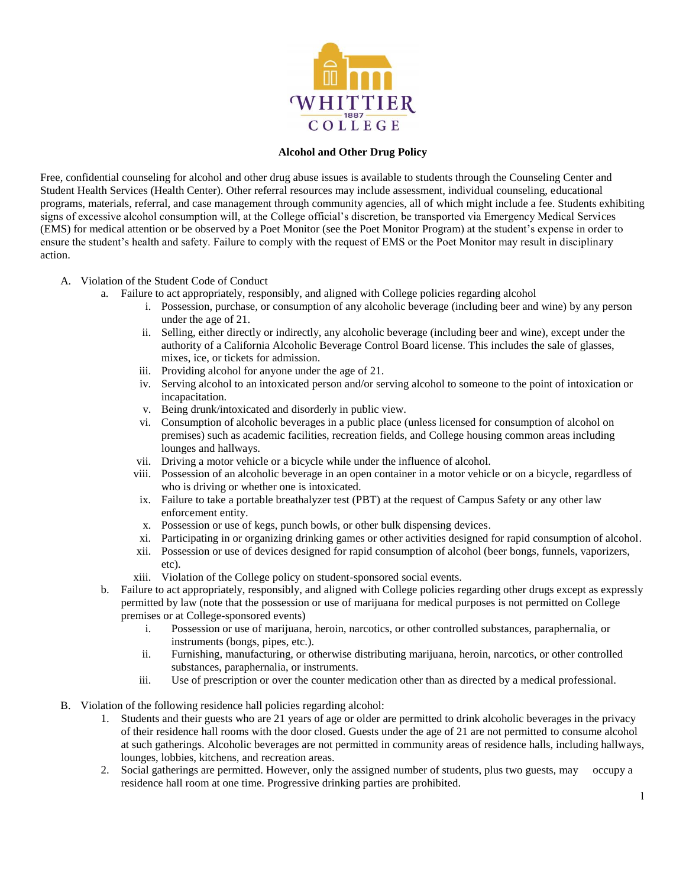

## **Alcohol and Other Drug Policy**

Free, confidential counseling for alcohol and other drug abuse issues is available to students through the Counseling Center and Student Health Services (Health Center). Other referral resources may include assessment, individual counseling, educational programs, materials, referral, and case management through community agencies, all of which might include a fee. Students exhibiting signs of excessive alcohol consumption will, at the College official's discretion, be transported via Emergency Medical Services (EMS) for medical attention or be observed by a Poet Monitor (see the Poet Monitor Program) at the student's expense in order to ensure the student's health and safety. Failure to comply with the request of EMS or the Poet Monitor may result in disciplinary action.

- A. Violation of the Student Code of Conduct
	- a. Failure to act appropriately, responsibly, and aligned with College policies regarding alcohol
		- i. Possession, purchase, or consumption of any alcoholic beverage (including beer and wine) by any person under the age of 21.
		- ii. Selling, either directly or indirectly, any alcoholic beverage (including beer and wine), except under the authority of a California Alcoholic Beverage Control Board license. This includes the sale of glasses, mixes, ice, or tickets for admission.
		- iii. Providing alcohol for anyone under the age of 21.
		- iv. Serving alcohol to an intoxicated person and/or serving alcohol to someone to the point of intoxication or incapacitation.
		- v. Being drunk/intoxicated and disorderly in public view.
		- vi. Consumption of alcoholic beverages in a public place (unless licensed for consumption of alcohol on premises) such as academic facilities, recreation fields, and College housing common areas including lounges and hallways.
		- vii. Driving a motor vehicle or a bicycle while under the influence of alcohol.
		- viii. Possession of an alcoholic beverage in an open container in a motor vehicle or on a bicycle, regardless of who is driving or whether one is intoxicated.
		- ix. Failure to take a portable breathalyzer test (PBT) at the request of Campus Safety or any other law enforcement entity.
		- x. Possession or use of kegs, punch bowls, or other bulk dispensing devices.
		- xi. Participating in or organizing drinking games or other activities designed for rapid consumption of alcohol.
		- xii. Possession or use of devices designed for rapid consumption of alcohol (beer bongs, funnels, vaporizers, etc).
		- xiii. Violation of the College policy on student-sponsored social events.
	- b. Failure to act appropriately, responsibly, and aligned with College policies regarding other drugs except as expressly permitted by law (note that the possession or use of marijuana for medical purposes is not permitted on College premises or at College-sponsored events)
		- i. Possession or use of marijuana, heroin, narcotics, or other controlled substances, paraphernalia, or instruments (bongs, pipes, etc.).
		- ii. Furnishing, manufacturing, or otherwise distributing marijuana, heroin, narcotics, or other controlled substances, paraphernalia, or instruments.
		- iii. Use of prescription or over the counter medication other than as directed by a medical professional.
- B. Violation of the following residence hall policies regarding alcohol:
	- 1. Students and their guests who are 21 years of age or older are permitted to drink alcoholic beverages in the privacy of their residence hall rooms with the door closed. Guests under the age of 21 are not permitted to consume alcohol at such gatherings. Alcoholic beverages are not permitted in community areas of residence halls, including hallways, lounges, lobbies, kitchens, and recreation areas.
	- 2. Social gatherings are permitted. However, only the assigned number of students, plus two guests, may occupy a residence hall room at one time. Progressive drinking parties are prohibited.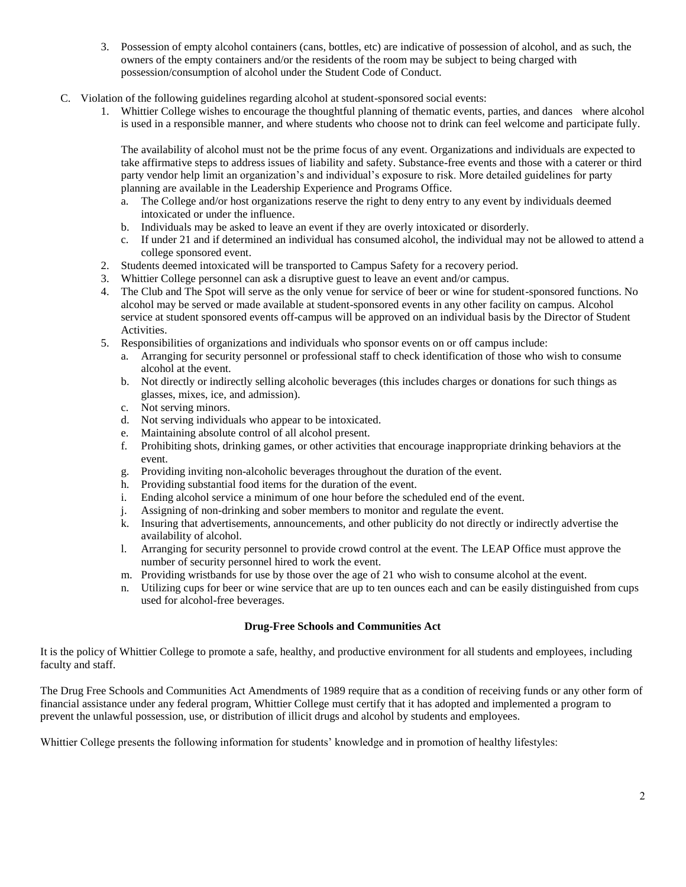- 3. Possession of empty alcohol containers (cans, bottles, etc) are indicative of possession of alcohol, and as such, the owners of the empty containers and/or the residents of the room may be subject to being charged with possession/consumption of alcohol under the Student Code of Conduct.
- C. Violation of the following guidelines regarding alcohol at student-sponsored social events:
	- 1. Whittier College wishes to encourage the thoughtful planning of thematic events, parties, and dances where alcohol is used in a responsible manner, and where students who choose not to drink can feel welcome and participate fully.

The availability of alcohol must not be the prime focus of any event. Organizations and individuals are expected to take affirmative steps to address issues of liability and safety. Substance-free events and those with a caterer or third party vendor help limit an organization's and individual's exposure to risk. More detailed guidelines for party planning are available in the Leadership Experience and Programs Office.

- a. The College and/or host organizations reserve the right to deny entry to any event by individuals deemed intoxicated or under the influence.
- b. Individuals may be asked to leave an event if they are overly intoxicated or disorderly.
- c. If under 21 and if determined an individual has consumed alcohol, the individual may not be allowed to attend a college sponsored event.
- 2. Students deemed intoxicated will be transported to Campus Safety for a recovery period.
- 3. Whittier College personnel can ask a disruptive guest to leave an event and/or campus.
- 4. The Club and The Spot will serve as the only venue for service of beer or wine for student-sponsored functions. No alcohol may be served or made available at student-sponsored events in any other facility on campus. Alcohol service at student sponsored events off-campus will be approved on an individual basis by the Director of Student Activities.
- 5. Responsibilities of organizations and individuals who sponsor events on or off campus include:
	- a. Arranging for security personnel or professional staff to check identification of those who wish to consume alcohol at the event.
	- b. Not directly or indirectly selling alcoholic beverages (this includes charges or donations for such things as glasses, mixes, ice, and admission).
	- c. Not serving minors.
	- d. Not serving individuals who appear to be intoxicated.
	- e. Maintaining absolute control of all alcohol present.
	- f. Prohibiting shots, drinking games, or other activities that encourage inappropriate drinking behaviors at the event.
	- g. Providing inviting non-alcoholic beverages throughout the duration of the event.
	- h. Providing substantial food items for the duration of the event.
	- i. Ending alcohol service a minimum of one hour before the scheduled end of the event.
	- j. Assigning of non-drinking and sober members to monitor and regulate the event.
	- k. Insuring that advertisements, announcements, and other publicity do not directly or indirectly advertise the availability of alcohol.
	- l. Arranging for security personnel to provide crowd control at the event. The LEAP Office must approve the number of security personnel hired to work the event.
	- m. Providing wristbands for use by those over the age of 21 who wish to consume alcohol at the event.
	- n. Utilizing cups for beer or wine service that are up to ten ounces each and can be easily distinguished from cups used for alcohol-free beverages.

## **Drug-Free Schools and Communities Act**

It is the policy of Whittier College to promote a safe, healthy, and productive environment for all students and employees, including faculty and staff.

The Drug Free Schools and Communities Act Amendments of 1989 require that as a condition of receiving funds or any other form of financial assistance under any federal program, Whittier College must certify that it has adopted and implemented a program to prevent the unlawful possession, use, or distribution of illicit drugs and alcohol by students and employees.

Whittier College presents the following information for students' knowledge and in promotion of healthy lifestyles: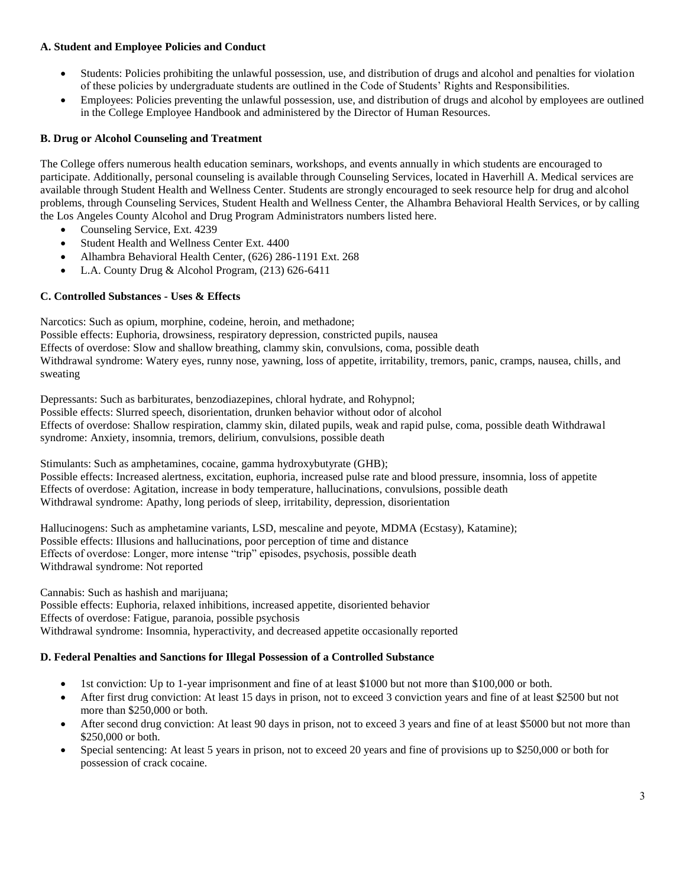# **A. Student and Employee Policies and Conduct**

- Students: Policies prohibiting the unlawful possession, use, and distribution of drugs and alcohol and penalties for violation of these policies by undergraduate students are outlined in the Code of Students' Rights and Responsibilities.
- Employees: Policies preventing the unlawful possession, use, and distribution of drugs and alcohol by employees are outlined in the College Employee Handbook and administered by the Director of Human Resources.

# **B. Drug or Alcohol Counseling and Treatment**

The College offers numerous health education seminars, workshops, and events annually in which students are encouraged to participate. Additionally, personal counseling is available through Counseling Services, located in Haverhill A. Medical services are available through Student Health and Wellness Center. Students are strongly encouraged to seek resource help for drug and alcohol problems, through Counseling Services, Student Health and Wellness Center, the Alhambra Behavioral Health Services, or by calling the Los Angeles County Alcohol and Drug Program Administrators numbers listed here.

- Counseling Service, Ext. 4239
- Student Health and Wellness Center Ext. 4400
- Alhambra Behavioral Health Center, (626) 286-1191 Ext. 268
- L.A. County Drug & Alcohol Program, (213) 626-6411

## **C. Controlled Substances - Uses & Effects**

Narcotics: Such as opium, morphine, codeine, heroin, and methadone;

Possible effects: Euphoria, drowsiness, respiratory depression, constricted pupils, nausea Effects of overdose: Slow and shallow breathing, clammy skin, convulsions, coma, possible death Withdrawal syndrome: Watery eyes, runny nose, yawning, loss of appetite, irritability, tremors, panic, cramps, nausea, chills, and sweating

Depressants: Such as barbiturates, benzodiazepines, chloral hydrate, and Rohypnol; Possible effects: Slurred speech, disorientation, drunken behavior without odor of alcohol Effects of overdose: Shallow respiration, clammy skin, dilated pupils, weak and rapid pulse, coma, possible death Withdrawal syndrome: Anxiety, insomnia, tremors, delirium, convulsions, possible death

Stimulants: Such as amphetamines, cocaine, gamma hydroxybutyrate (GHB); Possible effects: Increased alertness, excitation, euphoria, increased pulse rate and blood pressure, insomnia, loss of appetite Effects of overdose: Agitation, increase in body temperature, hallucinations, convulsions, possible death Withdrawal syndrome: Apathy, long periods of sleep, irritability, depression, disorientation

Hallucinogens: Such as amphetamine variants, LSD, mescaline and peyote, MDMA (Ecstasy), Katamine); Possible effects: Illusions and hallucinations, poor perception of time and distance Effects of overdose: Longer, more intense "trip" episodes, psychosis, possible death Withdrawal syndrome: Not reported

Cannabis: Such as hashish and marijuana; Possible effects: Euphoria, relaxed inhibitions, increased appetite, disoriented behavior Effects of overdose: Fatigue, paranoia, possible psychosis Withdrawal syndrome: Insomnia, hyperactivity, and decreased appetite occasionally reported

## **D. Federal Penalties and Sanctions for Illegal Possession of a Controlled Substance**

- 1st conviction: Up to 1-year imprisonment and fine of at least \$1000 but not more than \$100,000 or both.
- After first drug conviction: At least 15 days in prison, not to exceed 3 conviction years and fine of at least \$2500 but not more than \$250,000 or both.
- After second drug conviction: At least 90 days in prison, not to exceed 3 years and fine of at least \$5000 but not more than \$250,000 or both.
- Special sentencing: At least 5 years in prison, not to exceed 20 years and fine of provisions up to \$250,000 or both for possession of crack cocaine.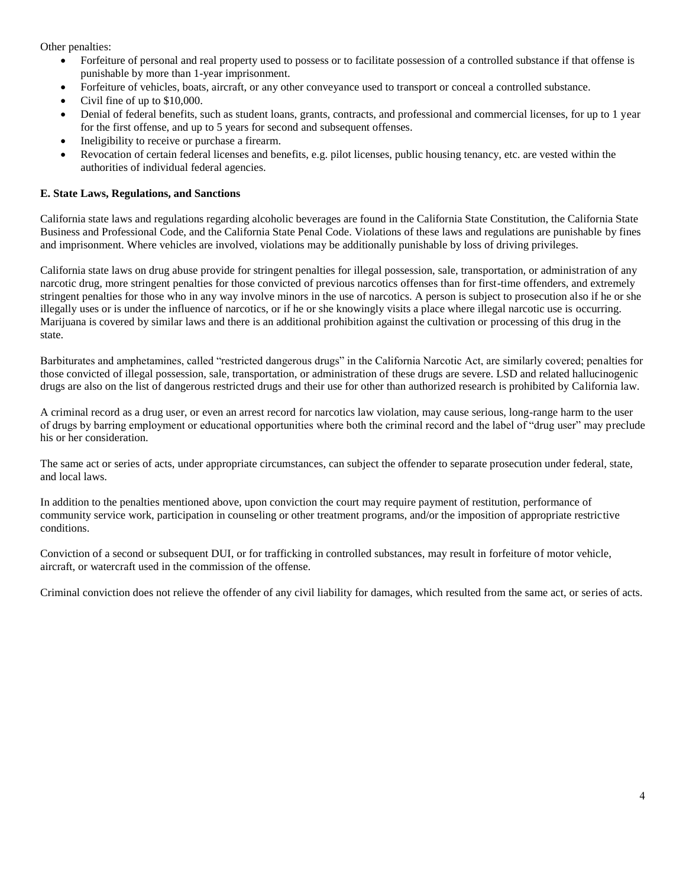Other penalties:

- Forfeiture of personal and real property used to possess or to facilitate possession of a controlled substance if that offense is punishable by more than 1-year imprisonment.
- Forfeiture of vehicles, boats, aircraft, or any other conveyance used to transport or conceal a controlled substance.
- Civil fine of up to \$10,000.
- Denial of federal benefits, such as student loans, grants, contracts, and professional and commercial licenses, for up to 1 year for the first offense, and up to 5 years for second and subsequent offenses.
- Ineligibility to receive or purchase a firearm.
- Revocation of certain federal licenses and benefits, e.g. pilot licenses, public housing tenancy, etc. are vested within the authorities of individual federal agencies.

## **E. State Laws, Regulations, and Sanctions**

California state laws and regulations regarding alcoholic beverages are found in the California State Constitution, the California State Business and Professional Code, and the California State Penal Code. Violations of these laws and regulations are punishable by fines and imprisonment. Where vehicles are involved, violations may be additionally punishable by loss of driving privileges.

California state laws on drug abuse provide for stringent penalties for illegal possession, sale, transportation, or administration of any narcotic drug, more stringent penalties for those convicted of previous narcotics offenses than for first-time offenders, and extremely stringent penalties for those who in any way involve minors in the use of narcotics. A person is subject to prosecution also if he or she illegally uses or is under the influence of narcotics, or if he or she knowingly visits a place where illegal narcotic use is occurring. Marijuana is covered by similar laws and there is an additional prohibition against the cultivation or processing of this drug in the state.

Barbiturates and amphetamines, called "restricted dangerous drugs" in the California Narcotic Act, are similarly covered; penalties for those convicted of illegal possession, sale, transportation, or administration of these drugs are severe. LSD and related hallucinogenic drugs are also on the list of dangerous restricted drugs and their use for other than authorized research is prohibited by California law.

A criminal record as a drug user, or even an arrest record for narcotics law violation, may cause serious, long-range harm to the user of drugs by barring employment or educational opportunities where both the criminal record and the label of "drug user" may preclude his or her consideration.

The same act or series of acts, under appropriate circumstances, can subject the offender to separate prosecution under federal, state, and local laws.

In addition to the penalties mentioned above, upon conviction the court may require payment of restitution, performance of community service work, participation in counseling or other treatment programs, and/or the imposition of appropriate restrictive conditions.

Conviction of a second or subsequent DUI, or for trafficking in controlled substances, may result in forfeiture of motor vehicle, aircraft, or watercraft used in the commission of the offense.

Criminal conviction does not relieve the offender of any civil liability for damages, which resulted from the same act, or series of acts.